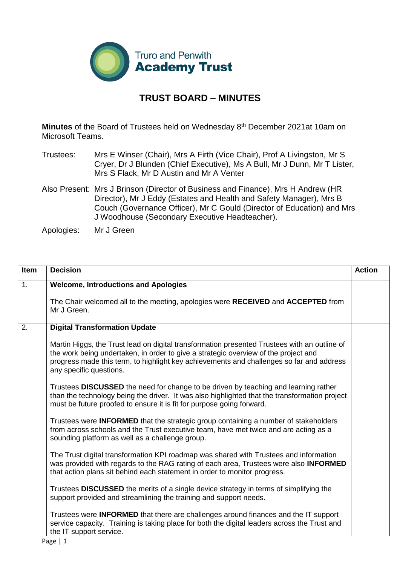

## **TRUST BOARD – MINUTES**

**Minutes** of the Board of Trustees held on Wednesday 8<sup>th</sup> December 2021at 10am on Microsoft Teams.

- Trustees: Mrs E Winser (Chair), Mrs A Firth (Vice Chair), Prof A Livingston, Mr S Cryer, Dr J Blunden (Chief Executive), Ms A Bull, Mr J Dunn, Mr T Lister, Mrs S Flack, Mr D Austin and Mr A Venter
- Also Present: Mrs J Brinson (Director of Business and Finance), Mrs H Andrew (HR Director), Mr J Eddy (Estates and Health and Safety Manager), Mrs B Couch (Governance Officer), Mr C Gould (Director of Education) and Mrs J Woodhouse (Secondary Executive Headteacher).

Apologies: Mr J Green

| Item | <b>Decision</b>                                                                                                                                                                                                                                                                                            | <b>Action</b> |
|------|------------------------------------------------------------------------------------------------------------------------------------------------------------------------------------------------------------------------------------------------------------------------------------------------------------|---------------|
| 1.   | <b>Welcome, Introductions and Apologies</b>                                                                                                                                                                                                                                                                |               |
|      | The Chair welcomed all to the meeting, apologies were RECEIVED and ACCEPTED from<br>Mr J Green.                                                                                                                                                                                                            |               |
| 2.   | <b>Digital Transformation Update</b>                                                                                                                                                                                                                                                                       |               |
|      | Martin Higgs, the Trust lead on digital transformation presented Trustees with an outline of<br>the work being undertaken, in order to give a strategic overview of the project and<br>progress made this term, to highlight key achievements and challenges so far and address<br>any specific questions. |               |
|      | Trustees DISCUSSED the need for change to be driven by teaching and learning rather<br>than the technology being the driver. It was also highlighted that the transformation project<br>must be future proofed to ensure it is fit for purpose going forward.                                              |               |
|      | Trustees were INFORMED that the strategic group containing a number of stakeholders<br>from across schools and the Trust executive team, have met twice and are acting as a<br>sounding platform as well as a challenge group.                                                                             |               |
|      | The Trust digital transformation KPI roadmap was shared with Trustees and information<br>was provided with regards to the RAG rating of each area, Trustees were also <b>INFORMED</b><br>that action plans sit behind each statement in order to monitor progress.                                         |               |
|      | Trustees DISCUSSED the merits of a single device strategy in terms of simplifying the<br>support provided and streamlining the training and support needs.                                                                                                                                                 |               |
|      | Trustees were INFORMED that there are challenges around finances and the IT support<br>service capacity. Training is taking place for both the digital leaders across the Trust and<br>the IT support service.                                                                                             |               |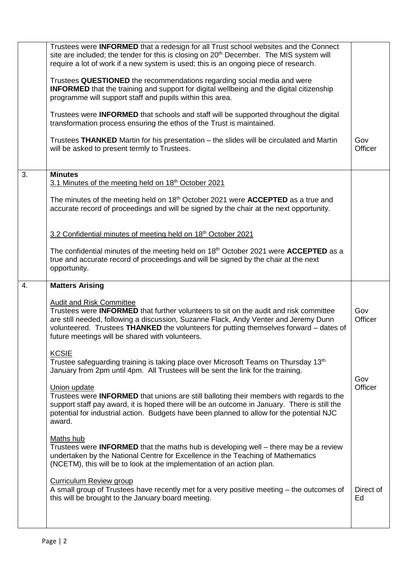|    | Trustees were <b>INFORMED</b> that a redesign for all Trust school websites and the Connect<br>site are included; the tender for this is closing on 20 <sup>th</sup> December. The MIS system will<br>require a lot of work if a new system is used; this is an ongoing piece of research.                                                                           |                 |
|----|----------------------------------------------------------------------------------------------------------------------------------------------------------------------------------------------------------------------------------------------------------------------------------------------------------------------------------------------------------------------|-----------------|
|    | Trustees QUESTIONED the recommendations regarding social media and were<br><b>INFORMED</b> that the training and support for digital wellbeing and the digital citizenship<br>programme will support staff and pupils within this area.                                                                                                                              |                 |
|    | Trustees were <b>INFORMED</b> that schools and staff will be supported throughout the digital<br>transformation process ensuring the ethos of the Trust is maintained.                                                                                                                                                                                               |                 |
|    | Trustees THANKED Martin for his presentation – the slides will be circulated and Martin<br>will be asked to present termly to Trustees.                                                                                                                                                                                                                              | Gov<br>Officer  |
| 3. | <b>Minutes</b><br>3.1 Minutes of the meeting held on 18 <sup>th</sup> October 2021                                                                                                                                                                                                                                                                                   |                 |
|    | The minutes of the meeting held on $18th$ October 2021 were <b>ACCEPTED</b> as a true and<br>accurate record of proceedings and will be signed by the chair at the next opportunity.                                                                                                                                                                                 |                 |
|    | 3.2 Confidential minutes of meeting held on 18 <sup>th</sup> October 2021                                                                                                                                                                                                                                                                                            |                 |
|    | The confidential minutes of the meeting held on 18 <sup>th</sup> October 2021 were <b>ACCEPTED</b> as a<br>true and accurate record of proceedings and will be signed by the chair at the next<br>opportunity.                                                                                                                                                       |                 |
| 4. | <b>Matters Arising</b>                                                                                                                                                                                                                                                                                                                                               |                 |
|    |                                                                                                                                                                                                                                                                                                                                                                      |                 |
|    | <b>Audit and Risk Committee</b><br>Trustees were <b>INFORMED</b> that further volunteers to sit on the audit and risk committee<br>are still needed, following a discussion, Suzanne Flack, Andy Venter and Jeremy Dunn<br>volunteered. Trustees THANKED the volunteers for putting themselves forward - dates of<br>future meetings will be shared with volunteers. | Gov<br>Officer  |
|    | <b>KCSIE</b><br>Trustee safeguarding training is taking place over Microsoft Teams on Thursday 13 <sup>th</sup><br>January from 2pm until 4pm. All Trustees will be sent the link for the training.                                                                                                                                                                  |                 |
|    | Union update<br>Trustees were <b>INFORMED</b> that unions are still balloting their members with regards to the<br>support staff pay award, it is hoped there will be an outcome in January. There is still the<br>potential for industrial action. Budgets have been planned to allow for the potential NJC<br>award.                                               | Gov<br>Officer  |
|    | <b>Maths hub</b><br>Trustees were <b>INFORMED</b> that the maths hub is developing well – there may be a review<br>undertaken by the National Centre for Excellence in the Teaching of Mathematics<br>(NCETM), this will be to look at the implementation of an action plan.                                                                                         |                 |
|    | Curriculum Review group<br>A small group of Trustees have recently met for a very positive meeting – the outcomes of<br>this will be brought to the January board meeting.                                                                                                                                                                                           | Direct of<br>Ed |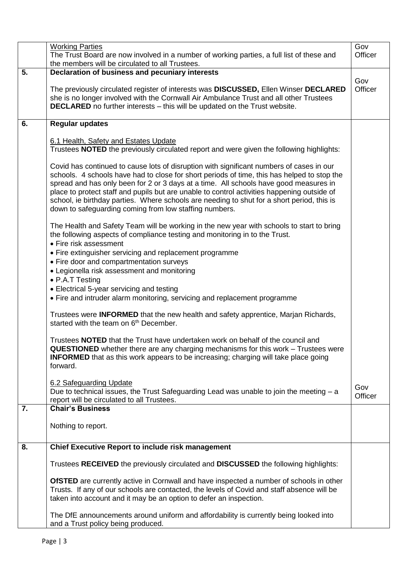|    | <b>Working Parties</b>                                                                                                                                                                                                                                                                                                                                                                                                                                                                                                                  | Gov            |
|----|-----------------------------------------------------------------------------------------------------------------------------------------------------------------------------------------------------------------------------------------------------------------------------------------------------------------------------------------------------------------------------------------------------------------------------------------------------------------------------------------------------------------------------------------|----------------|
|    | The Trust Board are now involved in a number of working parties, a full list of these and<br>the members will be circulated to all Trustees.                                                                                                                                                                                                                                                                                                                                                                                            | Officer        |
| 5. | Declaration of business and pecuniary interests                                                                                                                                                                                                                                                                                                                                                                                                                                                                                         |                |
|    | The previously circulated register of interests was DISCUSSED, Ellen Winser DECLARED<br>she is no longer involved with the Cornwall Air Ambulance Trust and all other Trustees<br><b>DECLARED</b> no further interests - this will be updated on the Trust website.                                                                                                                                                                                                                                                                     | Gov<br>Officer |
| 6. | <b>Regular updates</b>                                                                                                                                                                                                                                                                                                                                                                                                                                                                                                                  |                |
|    | 6.1 Health, Safety and Estates Update<br>Trustees NOTED the previously circulated report and were given the following highlights:                                                                                                                                                                                                                                                                                                                                                                                                       |                |
|    | Covid has continued to cause lots of disruption with significant numbers of cases in our<br>schools. 4 schools have had to close for short periods of time, this has helped to stop the<br>spread and has only been for 2 or 3 days at a time. All schools have good measures in<br>place to protect staff and pupils but are unable to control activities happening outside of<br>school, ie birthday parties. Where schools are needing to shut for a short period, this is<br>down to safeguarding coming from low staffing numbers. |                |
|    | The Health and Safety Team will be working in the new year with schools to start to bring<br>the following aspects of compliance testing and monitoring in to the Trust.<br>• Fire risk assessment                                                                                                                                                                                                                                                                                                                                      |                |
|    | • Fire extinguisher servicing and replacement programme                                                                                                                                                                                                                                                                                                                                                                                                                                                                                 |                |
|    | • Fire door and compartmentation surveys<br>• Legionella risk assessment and monitoring                                                                                                                                                                                                                                                                                                                                                                                                                                                 |                |
|    | • P.A.T Testing                                                                                                                                                                                                                                                                                                                                                                                                                                                                                                                         |                |
|    | • Electrical 5-year servicing and testing<br>• Fire and intruder alarm monitoring, servicing and replacement programme                                                                                                                                                                                                                                                                                                                                                                                                                  |                |
|    | Trustees were <b>INFORMED</b> that the new health and safety apprentice, Marjan Richards,<br>started with the team on 6 <sup>th</sup> December.                                                                                                                                                                                                                                                                                                                                                                                         |                |
|    | Trustees <b>NOTED</b> that the Trust have undertaken work on behalf of the council and<br>QUESTIONED whether there are any charging mechanisms for this work - Trustees were<br><b>INFORMED</b> that as this work appears to be increasing; charging will take place going<br>forward.                                                                                                                                                                                                                                                  |                |
|    | 6.2 Safeguarding Update<br>Due to technical issues, the Trust Safeguarding Lead was unable to join the meeting $- a$<br>report will be circulated to all Trustees.                                                                                                                                                                                                                                                                                                                                                                      | Gov<br>Officer |
| 7. | <b>Chair's Business</b>                                                                                                                                                                                                                                                                                                                                                                                                                                                                                                                 |                |
|    | Nothing to report.                                                                                                                                                                                                                                                                                                                                                                                                                                                                                                                      |                |
| 8. | <b>Chief Executive Report to include risk management</b>                                                                                                                                                                                                                                                                                                                                                                                                                                                                                |                |
|    | Trustees RECEIVED the previously circulated and DISCUSSED the following highlights:                                                                                                                                                                                                                                                                                                                                                                                                                                                     |                |
|    | OfSTED are currently active in Cornwall and have inspected a number of schools in other<br>Trusts. If any of our schools are contacted, the levels of Covid and staff absence will be<br>taken into account and it may be an option to defer an inspection.                                                                                                                                                                                                                                                                             |                |
|    | The DfE announcements around uniform and affordability is currently being looked into<br>and a Trust policy being produced.                                                                                                                                                                                                                                                                                                                                                                                                             |                |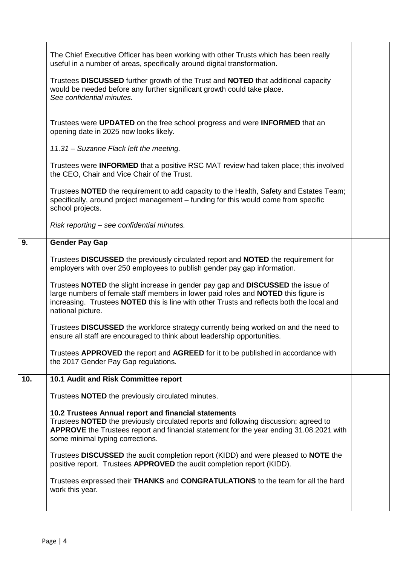|     | The Chief Executive Officer has been working with other Trusts which has been really<br>useful in a number of areas, specifically around digital transformation.                                                                                                                        |  |
|-----|-----------------------------------------------------------------------------------------------------------------------------------------------------------------------------------------------------------------------------------------------------------------------------------------|--|
|     | Trustees DISCUSSED further growth of the Trust and NOTED that additional capacity<br>would be needed before any further significant growth could take place.<br>See confidential minutes.                                                                                               |  |
|     | Trustees were UPDATED on the free school progress and were INFORMED that an<br>opening date in 2025 now looks likely.                                                                                                                                                                   |  |
|     | 11.31 - Suzanne Flack left the meeting.                                                                                                                                                                                                                                                 |  |
|     | Trustees were <b>INFORMED</b> that a positive RSC MAT review had taken place; this involved<br>the CEO, Chair and Vice Chair of the Trust.                                                                                                                                              |  |
|     | Trustees <b>NOTED</b> the requirement to add capacity to the Health, Safety and Estates Team;<br>specifically, around project management - funding for this would come from specific<br>school projects.                                                                                |  |
|     | Risk reporting – see confidential minutes.                                                                                                                                                                                                                                              |  |
| 9.  | <b>Gender Pay Gap</b>                                                                                                                                                                                                                                                                   |  |
|     | Trustees DISCUSSED the previously circulated report and NOTED the requirement for<br>employers with over 250 employees to publish gender pay gap information.                                                                                                                           |  |
|     | Trustees NOTED the slight increase in gender pay gap and DISCUSSED the issue of<br>large numbers of female staff members in lower paid roles and NOTED this figure is<br>increasing. Trustees NOTED this is line with other Trusts and reflects both the local and<br>national picture. |  |
|     | Trustees DISCUSSED the workforce strategy currently being worked on and the need to<br>ensure all staff are encouraged to think about leadership opportunities.                                                                                                                         |  |
|     | Trustees APPROVED the report and AGREED for it to be published in accordance with<br>the 2017 Gender Pay Gap regulations.                                                                                                                                                               |  |
| 10. | 10.1 Audit and Risk Committee report                                                                                                                                                                                                                                                    |  |
|     | Trustees NOTED the previously circulated minutes.                                                                                                                                                                                                                                       |  |
|     | 10.2 Trustees Annual report and financial statements<br>Trustees NOTED the previously circulated reports and following discussion; agreed to<br>APPROVE the Trustees report and financial statement for the year ending 31.08.2021 with<br>some minimal typing corrections.             |  |
|     | Trustees DISCUSSED the audit completion report (KIDD) and were pleased to NOTE the<br>positive report. Trustees APPROVED the audit completion report (KIDD).                                                                                                                            |  |
|     | Trustees expressed their THANKS and CONGRATULATIONS to the team for all the hard<br>work this year.                                                                                                                                                                                     |  |
|     |                                                                                                                                                                                                                                                                                         |  |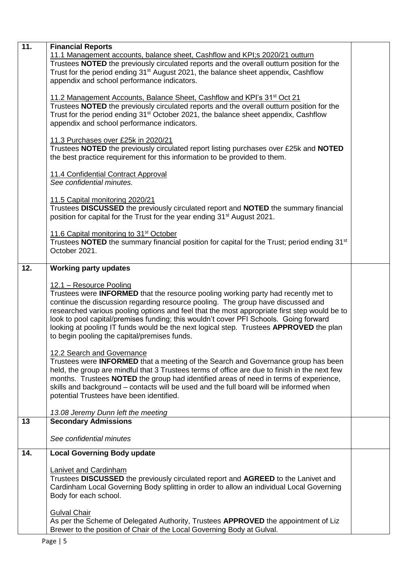| 11.1 Management accounts, balance sheet, Cashflow and KPI;s 2020/21 outturn<br>Trustees <b>NOTED</b> the previously circulated reports and the overall outturn position for the<br>Trust for the period ending 31 <sup>st</sup> August 2021, the balance sheet appendix, Cashflow<br>appendix and school performance indicators.<br>11.2 Management Accounts, Balance Sheet, Cashflow and KPI's 31 <sup>st</sup> Oct 21<br>Trustees NOTED the previously circulated reports and the overall outturn position for the<br>Trust for the period ending 31 <sup>st</sup> October 2021, the balance sheet appendix, Cashflow<br>appendix and school performance indicators.<br>11.3 Purchases over £25k in 2020/21<br>Trustees NOTED the previously circulated report listing purchases over £25k and NOTED<br>the best practice requirement for this information to be provided to them.<br>11.4 Confidential Contract Approval<br>See confidential minutes.<br>11.5 Capital monitoring 2020/21<br>Trustees DISCUSSED the previously circulated report and NOTED the summary financial<br>position for capital for the Trust for the year ending 31 <sup>st</sup> August 2021.<br>11.6 Capital monitoring to 31 <sup>st</sup> October<br>Trustees <b>NOTED</b> the summary financial position for capital for the Trust; period ending 31 <sup>st</sup><br>October 2021.<br>12.<br><b>Working party updates</b><br>12.1 - Resource Pooling<br>Trustees were INFORMED that the resource pooling working party had recently met to<br>continue the discussion regarding resource pooling. The group have discussed and<br>researched various pooling options and feel that the most appropriate first step would be to<br>look to pool capital/premises funding; this wouldn't cover PFI Schools. Going forward<br>looking at pooling IT funds would be the next logical step. Trustees APPROVED the plan<br>to begin pooling the capital/premises funds.<br>12.2 Search and Governance<br>Trustees were INFORMED that a meeting of the Search and Governance group has been<br>held, the group are mindful that 3 Trustees terms of office are due to finish in the next few<br>months. Trustees NOTED the group had identified areas of need in terms of experience,<br>skills and background - contacts will be used and the full board will be informed when<br>potential Trustees have been identified.<br>13.08 Jeremy Dunn left the meeting<br><b>Secondary Admissions</b><br>13<br>See confidential minutes<br>14.<br><b>Local Governing Body update</b><br>Lanivet and Cardinham<br>Trustees DISCUSSED the previously circulated report and AGREED to the Lanivet and<br>Cardinham Local Governing Body splitting in order to allow an individual Local Governing<br>Body for each school.<br><b>Gulval Chair</b><br>As per the Scheme of Delegated Authority, Trustees APPROVED the appointment of Liz<br>Brewer to the position of Chair of the Local Governing Body at Gulval. | 11. | <b>Financial Reports</b> |  |
|--------------------------------------------------------------------------------------------------------------------------------------------------------------------------------------------------------------------------------------------------------------------------------------------------------------------------------------------------------------------------------------------------------------------------------------------------------------------------------------------------------------------------------------------------------------------------------------------------------------------------------------------------------------------------------------------------------------------------------------------------------------------------------------------------------------------------------------------------------------------------------------------------------------------------------------------------------------------------------------------------------------------------------------------------------------------------------------------------------------------------------------------------------------------------------------------------------------------------------------------------------------------------------------------------------------------------------------------------------------------------------------------------------------------------------------------------------------------------------------------------------------------------------------------------------------------------------------------------------------------------------------------------------------------------------------------------------------------------------------------------------------------------------------------------------------------------------------------------------------------------------------------------------------------------------------------------------------------------------------------------------------------------------------------------------------------------------------------------------------------------------------------------------------------------------------------------------------------------------------------------------------------------------------------------------------------------------------------------------------------------------------------------------------------------------------------------------------------------------------------------------------------------------------------------------------------------------------------------------------------------------------------------------------------------------------------------------------------------------------------------------------------------------------------------------------------------------------------------------------------------------------------------------------------------------------------------------------------------------------|-----|--------------------------|--|
|                                                                                                                                                                                                                                                                                                                                                                                                                                                                                                                                                                                                                                                                                                                                                                                                                                                                                                                                                                                                                                                                                                                                                                                                                                                                                                                                                                                                                                                                                                                                                                                                                                                                                                                                                                                                                                                                                                                                                                                                                                                                                                                                                                                                                                                                                                                                                                                                                                                                                                                                                                                                                                                                                                                                                                                                                                                                                                                                                                                      |     |                          |  |
|                                                                                                                                                                                                                                                                                                                                                                                                                                                                                                                                                                                                                                                                                                                                                                                                                                                                                                                                                                                                                                                                                                                                                                                                                                                                                                                                                                                                                                                                                                                                                                                                                                                                                                                                                                                                                                                                                                                                                                                                                                                                                                                                                                                                                                                                                                                                                                                                                                                                                                                                                                                                                                                                                                                                                                                                                                                                                                                                                                                      |     |                          |  |
|                                                                                                                                                                                                                                                                                                                                                                                                                                                                                                                                                                                                                                                                                                                                                                                                                                                                                                                                                                                                                                                                                                                                                                                                                                                                                                                                                                                                                                                                                                                                                                                                                                                                                                                                                                                                                                                                                                                                                                                                                                                                                                                                                                                                                                                                                                                                                                                                                                                                                                                                                                                                                                                                                                                                                                                                                                                                                                                                                                                      |     |                          |  |
|                                                                                                                                                                                                                                                                                                                                                                                                                                                                                                                                                                                                                                                                                                                                                                                                                                                                                                                                                                                                                                                                                                                                                                                                                                                                                                                                                                                                                                                                                                                                                                                                                                                                                                                                                                                                                                                                                                                                                                                                                                                                                                                                                                                                                                                                                                                                                                                                                                                                                                                                                                                                                                                                                                                                                                                                                                                                                                                                                                                      |     |                          |  |
|                                                                                                                                                                                                                                                                                                                                                                                                                                                                                                                                                                                                                                                                                                                                                                                                                                                                                                                                                                                                                                                                                                                                                                                                                                                                                                                                                                                                                                                                                                                                                                                                                                                                                                                                                                                                                                                                                                                                                                                                                                                                                                                                                                                                                                                                                                                                                                                                                                                                                                                                                                                                                                                                                                                                                                                                                                                                                                                                                                                      |     |                          |  |
|                                                                                                                                                                                                                                                                                                                                                                                                                                                                                                                                                                                                                                                                                                                                                                                                                                                                                                                                                                                                                                                                                                                                                                                                                                                                                                                                                                                                                                                                                                                                                                                                                                                                                                                                                                                                                                                                                                                                                                                                                                                                                                                                                                                                                                                                                                                                                                                                                                                                                                                                                                                                                                                                                                                                                                                                                                                                                                                                                                                      |     |                          |  |
|                                                                                                                                                                                                                                                                                                                                                                                                                                                                                                                                                                                                                                                                                                                                                                                                                                                                                                                                                                                                                                                                                                                                                                                                                                                                                                                                                                                                                                                                                                                                                                                                                                                                                                                                                                                                                                                                                                                                                                                                                                                                                                                                                                                                                                                                                                                                                                                                                                                                                                                                                                                                                                                                                                                                                                                                                                                                                                                                                                                      |     |                          |  |
|                                                                                                                                                                                                                                                                                                                                                                                                                                                                                                                                                                                                                                                                                                                                                                                                                                                                                                                                                                                                                                                                                                                                                                                                                                                                                                                                                                                                                                                                                                                                                                                                                                                                                                                                                                                                                                                                                                                                                                                                                                                                                                                                                                                                                                                                                                                                                                                                                                                                                                                                                                                                                                                                                                                                                                                                                                                                                                                                                                                      |     |                          |  |
|                                                                                                                                                                                                                                                                                                                                                                                                                                                                                                                                                                                                                                                                                                                                                                                                                                                                                                                                                                                                                                                                                                                                                                                                                                                                                                                                                                                                                                                                                                                                                                                                                                                                                                                                                                                                                                                                                                                                                                                                                                                                                                                                                                                                                                                                                                                                                                                                                                                                                                                                                                                                                                                                                                                                                                                                                                                                                                                                                                                      |     |                          |  |
|                                                                                                                                                                                                                                                                                                                                                                                                                                                                                                                                                                                                                                                                                                                                                                                                                                                                                                                                                                                                                                                                                                                                                                                                                                                                                                                                                                                                                                                                                                                                                                                                                                                                                                                                                                                                                                                                                                                                                                                                                                                                                                                                                                                                                                                                                                                                                                                                                                                                                                                                                                                                                                                                                                                                                                                                                                                                                                                                                                                      |     |                          |  |
|                                                                                                                                                                                                                                                                                                                                                                                                                                                                                                                                                                                                                                                                                                                                                                                                                                                                                                                                                                                                                                                                                                                                                                                                                                                                                                                                                                                                                                                                                                                                                                                                                                                                                                                                                                                                                                                                                                                                                                                                                                                                                                                                                                                                                                                                                                                                                                                                                                                                                                                                                                                                                                                                                                                                                                                                                                                                                                                                                                                      |     |                          |  |
|                                                                                                                                                                                                                                                                                                                                                                                                                                                                                                                                                                                                                                                                                                                                                                                                                                                                                                                                                                                                                                                                                                                                                                                                                                                                                                                                                                                                                                                                                                                                                                                                                                                                                                                                                                                                                                                                                                                                                                                                                                                                                                                                                                                                                                                                                                                                                                                                                                                                                                                                                                                                                                                                                                                                                                                                                                                                                                                                                                                      |     |                          |  |
|                                                                                                                                                                                                                                                                                                                                                                                                                                                                                                                                                                                                                                                                                                                                                                                                                                                                                                                                                                                                                                                                                                                                                                                                                                                                                                                                                                                                                                                                                                                                                                                                                                                                                                                                                                                                                                                                                                                                                                                                                                                                                                                                                                                                                                                                                                                                                                                                                                                                                                                                                                                                                                                                                                                                                                                                                                                                                                                                                                                      |     |                          |  |
|                                                                                                                                                                                                                                                                                                                                                                                                                                                                                                                                                                                                                                                                                                                                                                                                                                                                                                                                                                                                                                                                                                                                                                                                                                                                                                                                                                                                                                                                                                                                                                                                                                                                                                                                                                                                                                                                                                                                                                                                                                                                                                                                                                                                                                                                                                                                                                                                                                                                                                                                                                                                                                                                                                                                                                                                                                                                                                                                                                                      |     |                          |  |
|                                                                                                                                                                                                                                                                                                                                                                                                                                                                                                                                                                                                                                                                                                                                                                                                                                                                                                                                                                                                                                                                                                                                                                                                                                                                                                                                                                                                                                                                                                                                                                                                                                                                                                                                                                                                                                                                                                                                                                                                                                                                                                                                                                                                                                                                                                                                                                                                                                                                                                                                                                                                                                                                                                                                                                                                                                                                                                                                                                                      |     |                          |  |
|                                                                                                                                                                                                                                                                                                                                                                                                                                                                                                                                                                                                                                                                                                                                                                                                                                                                                                                                                                                                                                                                                                                                                                                                                                                                                                                                                                                                                                                                                                                                                                                                                                                                                                                                                                                                                                                                                                                                                                                                                                                                                                                                                                                                                                                                                                                                                                                                                                                                                                                                                                                                                                                                                                                                                                                                                                                                                                                                                                                      |     |                          |  |
|                                                                                                                                                                                                                                                                                                                                                                                                                                                                                                                                                                                                                                                                                                                                                                                                                                                                                                                                                                                                                                                                                                                                                                                                                                                                                                                                                                                                                                                                                                                                                                                                                                                                                                                                                                                                                                                                                                                                                                                                                                                                                                                                                                                                                                                                                                                                                                                                                                                                                                                                                                                                                                                                                                                                                                                                                                                                                                                                                                                      |     |                          |  |
|                                                                                                                                                                                                                                                                                                                                                                                                                                                                                                                                                                                                                                                                                                                                                                                                                                                                                                                                                                                                                                                                                                                                                                                                                                                                                                                                                                                                                                                                                                                                                                                                                                                                                                                                                                                                                                                                                                                                                                                                                                                                                                                                                                                                                                                                                                                                                                                                                                                                                                                                                                                                                                                                                                                                                                                                                                                                                                                                                                                      |     |                          |  |
|                                                                                                                                                                                                                                                                                                                                                                                                                                                                                                                                                                                                                                                                                                                                                                                                                                                                                                                                                                                                                                                                                                                                                                                                                                                                                                                                                                                                                                                                                                                                                                                                                                                                                                                                                                                                                                                                                                                                                                                                                                                                                                                                                                                                                                                                                                                                                                                                                                                                                                                                                                                                                                                                                                                                                                                                                                                                                                                                                                                      |     |                          |  |
|                                                                                                                                                                                                                                                                                                                                                                                                                                                                                                                                                                                                                                                                                                                                                                                                                                                                                                                                                                                                                                                                                                                                                                                                                                                                                                                                                                                                                                                                                                                                                                                                                                                                                                                                                                                                                                                                                                                                                                                                                                                                                                                                                                                                                                                                                                                                                                                                                                                                                                                                                                                                                                                                                                                                                                                                                                                                                                                                                                                      |     |                          |  |
|                                                                                                                                                                                                                                                                                                                                                                                                                                                                                                                                                                                                                                                                                                                                                                                                                                                                                                                                                                                                                                                                                                                                                                                                                                                                                                                                                                                                                                                                                                                                                                                                                                                                                                                                                                                                                                                                                                                                                                                                                                                                                                                                                                                                                                                                                                                                                                                                                                                                                                                                                                                                                                                                                                                                                                                                                                                                                                                                                                                      |     |                          |  |
|                                                                                                                                                                                                                                                                                                                                                                                                                                                                                                                                                                                                                                                                                                                                                                                                                                                                                                                                                                                                                                                                                                                                                                                                                                                                                                                                                                                                                                                                                                                                                                                                                                                                                                                                                                                                                                                                                                                                                                                                                                                                                                                                                                                                                                                                                                                                                                                                                                                                                                                                                                                                                                                                                                                                                                                                                                                                                                                                                                                      |     |                          |  |
|                                                                                                                                                                                                                                                                                                                                                                                                                                                                                                                                                                                                                                                                                                                                                                                                                                                                                                                                                                                                                                                                                                                                                                                                                                                                                                                                                                                                                                                                                                                                                                                                                                                                                                                                                                                                                                                                                                                                                                                                                                                                                                                                                                                                                                                                                                                                                                                                                                                                                                                                                                                                                                                                                                                                                                                                                                                                                                                                                                                      |     |                          |  |
|                                                                                                                                                                                                                                                                                                                                                                                                                                                                                                                                                                                                                                                                                                                                                                                                                                                                                                                                                                                                                                                                                                                                                                                                                                                                                                                                                                                                                                                                                                                                                                                                                                                                                                                                                                                                                                                                                                                                                                                                                                                                                                                                                                                                                                                                                                                                                                                                                                                                                                                                                                                                                                                                                                                                                                                                                                                                                                                                                                                      |     |                          |  |
|                                                                                                                                                                                                                                                                                                                                                                                                                                                                                                                                                                                                                                                                                                                                                                                                                                                                                                                                                                                                                                                                                                                                                                                                                                                                                                                                                                                                                                                                                                                                                                                                                                                                                                                                                                                                                                                                                                                                                                                                                                                                                                                                                                                                                                                                                                                                                                                                                                                                                                                                                                                                                                                                                                                                                                                                                                                                                                                                                                                      |     |                          |  |
|                                                                                                                                                                                                                                                                                                                                                                                                                                                                                                                                                                                                                                                                                                                                                                                                                                                                                                                                                                                                                                                                                                                                                                                                                                                                                                                                                                                                                                                                                                                                                                                                                                                                                                                                                                                                                                                                                                                                                                                                                                                                                                                                                                                                                                                                                                                                                                                                                                                                                                                                                                                                                                                                                                                                                                                                                                                                                                                                                                                      |     |                          |  |
|                                                                                                                                                                                                                                                                                                                                                                                                                                                                                                                                                                                                                                                                                                                                                                                                                                                                                                                                                                                                                                                                                                                                                                                                                                                                                                                                                                                                                                                                                                                                                                                                                                                                                                                                                                                                                                                                                                                                                                                                                                                                                                                                                                                                                                                                                                                                                                                                                                                                                                                                                                                                                                                                                                                                                                                                                                                                                                                                                                                      |     |                          |  |
|                                                                                                                                                                                                                                                                                                                                                                                                                                                                                                                                                                                                                                                                                                                                                                                                                                                                                                                                                                                                                                                                                                                                                                                                                                                                                                                                                                                                                                                                                                                                                                                                                                                                                                                                                                                                                                                                                                                                                                                                                                                                                                                                                                                                                                                                                                                                                                                                                                                                                                                                                                                                                                                                                                                                                                                                                                                                                                                                                                                      |     |                          |  |
|                                                                                                                                                                                                                                                                                                                                                                                                                                                                                                                                                                                                                                                                                                                                                                                                                                                                                                                                                                                                                                                                                                                                                                                                                                                                                                                                                                                                                                                                                                                                                                                                                                                                                                                                                                                                                                                                                                                                                                                                                                                                                                                                                                                                                                                                                                                                                                                                                                                                                                                                                                                                                                                                                                                                                                                                                                                                                                                                                                                      |     |                          |  |
|                                                                                                                                                                                                                                                                                                                                                                                                                                                                                                                                                                                                                                                                                                                                                                                                                                                                                                                                                                                                                                                                                                                                                                                                                                                                                                                                                                                                                                                                                                                                                                                                                                                                                                                                                                                                                                                                                                                                                                                                                                                                                                                                                                                                                                                                                                                                                                                                                                                                                                                                                                                                                                                                                                                                                                                                                                                                                                                                                                                      |     |                          |  |
|                                                                                                                                                                                                                                                                                                                                                                                                                                                                                                                                                                                                                                                                                                                                                                                                                                                                                                                                                                                                                                                                                                                                                                                                                                                                                                                                                                                                                                                                                                                                                                                                                                                                                                                                                                                                                                                                                                                                                                                                                                                                                                                                                                                                                                                                                                                                                                                                                                                                                                                                                                                                                                                                                                                                                                                                                                                                                                                                                                                      |     |                          |  |
|                                                                                                                                                                                                                                                                                                                                                                                                                                                                                                                                                                                                                                                                                                                                                                                                                                                                                                                                                                                                                                                                                                                                                                                                                                                                                                                                                                                                                                                                                                                                                                                                                                                                                                                                                                                                                                                                                                                                                                                                                                                                                                                                                                                                                                                                                                                                                                                                                                                                                                                                                                                                                                                                                                                                                                                                                                                                                                                                                                                      |     |                          |  |
|                                                                                                                                                                                                                                                                                                                                                                                                                                                                                                                                                                                                                                                                                                                                                                                                                                                                                                                                                                                                                                                                                                                                                                                                                                                                                                                                                                                                                                                                                                                                                                                                                                                                                                                                                                                                                                                                                                                                                                                                                                                                                                                                                                                                                                                                                                                                                                                                                                                                                                                                                                                                                                                                                                                                                                                                                                                                                                                                                                                      |     |                          |  |
|                                                                                                                                                                                                                                                                                                                                                                                                                                                                                                                                                                                                                                                                                                                                                                                                                                                                                                                                                                                                                                                                                                                                                                                                                                                                                                                                                                                                                                                                                                                                                                                                                                                                                                                                                                                                                                                                                                                                                                                                                                                                                                                                                                                                                                                                                                                                                                                                                                                                                                                                                                                                                                                                                                                                                                                                                                                                                                                                                                                      |     |                          |  |
|                                                                                                                                                                                                                                                                                                                                                                                                                                                                                                                                                                                                                                                                                                                                                                                                                                                                                                                                                                                                                                                                                                                                                                                                                                                                                                                                                                                                                                                                                                                                                                                                                                                                                                                                                                                                                                                                                                                                                                                                                                                                                                                                                                                                                                                                                                                                                                                                                                                                                                                                                                                                                                                                                                                                                                                                                                                                                                                                                                                      |     |                          |  |
|                                                                                                                                                                                                                                                                                                                                                                                                                                                                                                                                                                                                                                                                                                                                                                                                                                                                                                                                                                                                                                                                                                                                                                                                                                                                                                                                                                                                                                                                                                                                                                                                                                                                                                                                                                                                                                                                                                                                                                                                                                                                                                                                                                                                                                                                                                                                                                                                                                                                                                                                                                                                                                                                                                                                                                                                                                                                                                                                                                                      |     |                          |  |
|                                                                                                                                                                                                                                                                                                                                                                                                                                                                                                                                                                                                                                                                                                                                                                                                                                                                                                                                                                                                                                                                                                                                                                                                                                                                                                                                                                                                                                                                                                                                                                                                                                                                                                                                                                                                                                                                                                                                                                                                                                                                                                                                                                                                                                                                                                                                                                                                                                                                                                                                                                                                                                                                                                                                                                                                                                                                                                                                                                                      |     |                          |  |
|                                                                                                                                                                                                                                                                                                                                                                                                                                                                                                                                                                                                                                                                                                                                                                                                                                                                                                                                                                                                                                                                                                                                                                                                                                                                                                                                                                                                                                                                                                                                                                                                                                                                                                                                                                                                                                                                                                                                                                                                                                                                                                                                                                                                                                                                                                                                                                                                                                                                                                                                                                                                                                                                                                                                                                                                                                                                                                                                                                                      |     |                          |  |
|                                                                                                                                                                                                                                                                                                                                                                                                                                                                                                                                                                                                                                                                                                                                                                                                                                                                                                                                                                                                                                                                                                                                                                                                                                                                                                                                                                                                                                                                                                                                                                                                                                                                                                                                                                                                                                                                                                                                                                                                                                                                                                                                                                                                                                                                                                                                                                                                                                                                                                                                                                                                                                                                                                                                                                                                                                                                                                                                                                                      |     |                          |  |
|                                                                                                                                                                                                                                                                                                                                                                                                                                                                                                                                                                                                                                                                                                                                                                                                                                                                                                                                                                                                                                                                                                                                                                                                                                                                                                                                                                                                                                                                                                                                                                                                                                                                                                                                                                                                                                                                                                                                                                                                                                                                                                                                                                                                                                                                                                                                                                                                                                                                                                                                                                                                                                                                                                                                                                                                                                                                                                                                                                                      |     |                          |  |
|                                                                                                                                                                                                                                                                                                                                                                                                                                                                                                                                                                                                                                                                                                                                                                                                                                                                                                                                                                                                                                                                                                                                                                                                                                                                                                                                                                                                                                                                                                                                                                                                                                                                                                                                                                                                                                                                                                                                                                                                                                                                                                                                                                                                                                                                                                                                                                                                                                                                                                                                                                                                                                                                                                                                                                                                                                                                                                                                                                                      |     |                          |  |
|                                                                                                                                                                                                                                                                                                                                                                                                                                                                                                                                                                                                                                                                                                                                                                                                                                                                                                                                                                                                                                                                                                                                                                                                                                                                                                                                                                                                                                                                                                                                                                                                                                                                                                                                                                                                                                                                                                                                                                                                                                                                                                                                                                                                                                                                                                                                                                                                                                                                                                                                                                                                                                                                                                                                                                                                                                                                                                                                                                                      |     |                          |  |
|                                                                                                                                                                                                                                                                                                                                                                                                                                                                                                                                                                                                                                                                                                                                                                                                                                                                                                                                                                                                                                                                                                                                                                                                                                                                                                                                                                                                                                                                                                                                                                                                                                                                                                                                                                                                                                                                                                                                                                                                                                                                                                                                                                                                                                                                                                                                                                                                                                                                                                                                                                                                                                                                                                                                                                                                                                                                                                                                                                                      |     |                          |  |
|                                                                                                                                                                                                                                                                                                                                                                                                                                                                                                                                                                                                                                                                                                                                                                                                                                                                                                                                                                                                                                                                                                                                                                                                                                                                                                                                                                                                                                                                                                                                                                                                                                                                                                                                                                                                                                                                                                                                                                                                                                                                                                                                                                                                                                                                                                                                                                                                                                                                                                                                                                                                                                                                                                                                                                                                                                                                                                                                                                                      |     |                          |  |
|                                                                                                                                                                                                                                                                                                                                                                                                                                                                                                                                                                                                                                                                                                                                                                                                                                                                                                                                                                                                                                                                                                                                                                                                                                                                                                                                                                                                                                                                                                                                                                                                                                                                                                                                                                                                                                                                                                                                                                                                                                                                                                                                                                                                                                                                                                                                                                                                                                                                                                                                                                                                                                                                                                                                                                                                                                                                                                                                                                                      |     |                          |  |
|                                                                                                                                                                                                                                                                                                                                                                                                                                                                                                                                                                                                                                                                                                                                                                                                                                                                                                                                                                                                                                                                                                                                                                                                                                                                                                                                                                                                                                                                                                                                                                                                                                                                                                                                                                                                                                                                                                                                                                                                                                                                                                                                                                                                                                                                                                                                                                                                                                                                                                                                                                                                                                                                                                                                                                                                                                                                                                                                                                                      |     |                          |  |
|                                                                                                                                                                                                                                                                                                                                                                                                                                                                                                                                                                                                                                                                                                                                                                                                                                                                                                                                                                                                                                                                                                                                                                                                                                                                                                                                                                                                                                                                                                                                                                                                                                                                                                                                                                                                                                                                                                                                                                                                                                                                                                                                                                                                                                                                                                                                                                                                                                                                                                                                                                                                                                                                                                                                                                                                                                                                                                                                                                                      |     |                          |  |
|                                                                                                                                                                                                                                                                                                                                                                                                                                                                                                                                                                                                                                                                                                                                                                                                                                                                                                                                                                                                                                                                                                                                                                                                                                                                                                                                                                                                                                                                                                                                                                                                                                                                                                                                                                                                                                                                                                                                                                                                                                                                                                                                                                                                                                                                                                                                                                                                                                                                                                                                                                                                                                                                                                                                                                                                                                                                                                                                                                                      |     |                          |  |
|                                                                                                                                                                                                                                                                                                                                                                                                                                                                                                                                                                                                                                                                                                                                                                                                                                                                                                                                                                                                                                                                                                                                                                                                                                                                                                                                                                                                                                                                                                                                                                                                                                                                                                                                                                                                                                                                                                                                                                                                                                                                                                                                                                                                                                                                                                                                                                                                                                                                                                                                                                                                                                                                                                                                                                                                                                                                                                                                                                                      |     |                          |  |
|                                                                                                                                                                                                                                                                                                                                                                                                                                                                                                                                                                                                                                                                                                                                                                                                                                                                                                                                                                                                                                                                                                                                                                                                                                                                                                                                                                                                                                                                                                                                                                                                                                                                                                                                                                                                                                                                                                                                                                                                                                                                                                                                                                                                                                                                                                                                                                                                                                                                                                                                                                                                                                                                                                                                                                                                                                                                                                                                                                                      |     |                          |  |